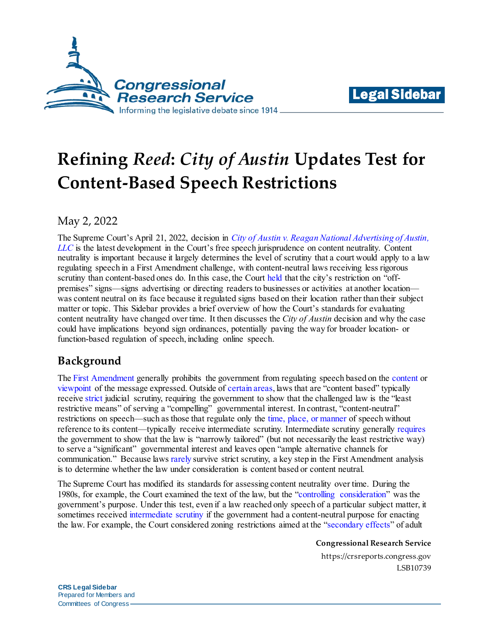



# **Refining** *Reed***:** *City of Austin* **Updates Test for Content-Based Speech Restrictions**

## May 2, 2022

The Supreme Court's April 21, 2022, decision in *[City of Austin v. Reagan National Advertising of Austin,](https://www.supremecourt.gov/opinions/21pdf/20-1029_i42k.pdf)  [LLC](https://www.supremecourt.gov/opinions/21pdf/20-1029_i42k.pdf)* is the latest development in the Court's free speech jurisprudence on content neutrality. Content neutrality is important because it largely determines the level of scrutiny that a court would apply to a law regulating speech in a First Amendment challenge, with content-neutral laws receiving less rigorous scrutiny than content-based ones do. In this case, the Court [held](https://www.supremecourt.gov/opinions/21pdf/20-1029_i42k.pdf#page=11) that the city's restriction on "offpremises" signs—signs advertising or directing readers to businesses or activities at another location was content neutral on its face because it regulated signs based on their location rather than their subject matter or topic. This Sidebar provides a brief overview of how the Court's standards for evaluating content neutrality have changed over time. It then discusses the *City of Austin* decision and why the case could have implications beyond sign ordinances, potentially paving the way for broader location- or function-based regulation of speech, including online speech.

# **Background**

The [First Amendment](https://constitution.congress.gov/browse/amendment-1/) generally prohibits the government from regulating speech based on the [content](https://tile.loc.gov/storage-services/service/ll/usrep/usrep408/usrep408092/usrep408092.pdf#page=4) or [viewpoint](https://tile.loc.gov/storage-services/service/ll/usrep/usrep515/usrep515819/usrep515819.pdf#page=11) of the message expressed. Outside o[f certain areas,](https://crsreports.congress.gov/product/pdf/IF/IF11072) laws that are "content based" typically receiv[e strict](https://tile.loc.gov/storage-services/service/ll/usrep/usrep529/usrep529803/usrep529803.pdf#page=11) judicial scrutiny, requiring the government to show that the challenged law is the "least restrictive means" of serving a "compelling" governmental interest. In contrast, "content-neutral" restrictions on speech—such as those that regulate only the [time, place, or manner](https://tile.loc.gov/storage-services/service/ll/usrep/usrep468/usrep468288/usrep468288.pdf#page=6) of speech without reference to its content—typically receive intermediate scrutiny. Intermediate scrutiny generally [requires](https://tile.loc.gov/storage-services/service/ll/usrep/usrep468/usrep468288/usrep468288.pdf#page=6) the government to show that the law is "narrowly tailored" (but not necessarily the least restrictive way) to serve a "significant" governmental interest and leaves open "ample alternative channels for communication." Because law[s rarely](https://www.supremecourt.gov/opinions/14pdf/13-1499_d18e.pdf#page=13) survive strict scrutiny, a key step in the First Amendment analysis is to determine whether the law under consideration is content based or content neutral.

The Supreme Court has modified its standards for assessing content neutrality over time. During the 1980s, for example, the Court examined the text of the law, but the ["controlling consideration"](https://tile.loc.gov/storage-services/service/ll/usrep/usrep491/usrep491781/usrep491781.pdf#page=11) was the government's purpose. Under this test, even if a law reached only speech of a particular subject matter, it sometimes received [intermediate scrutiny](https://tile.loc.gov/storage-services/service/ll/usrep/usrep475/usrep475041/usrep475041.pdf#page=8) if the government had a content-neutral purpose for enacting the law. For example, the Court considered zoning restrictions aimed at the ["secondary effects](https://tile.loc.gov/storage-services/service/ll/usrep/usrep475/usrep475041/usrep475041.pdf#page=7)" of adult

**Congressional Research Service**

https://crsreports.congress.gov LSB10739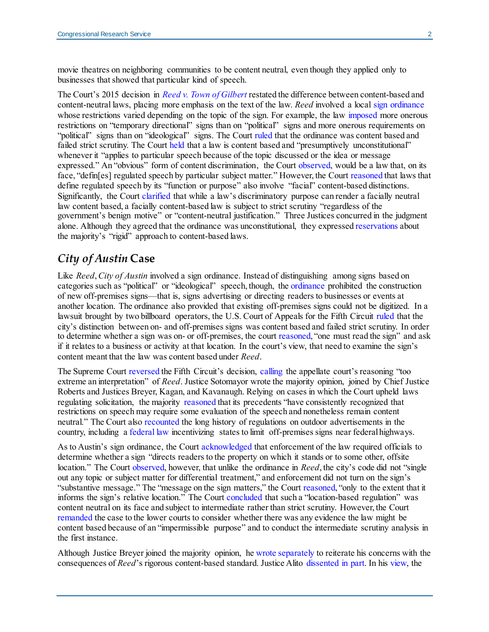movie theatres on neighboring communities to be content neutral, even though they applied only to businesses that showed that particular kind of speech.

The Court's 2015 decision in *[Reed v. Town of Gilbert](https://www.supremecourt.gov/opinions/14pdf/13-502_9olb.pdf)* restated the difference between content-based and content-neutral laws, placing more emphasis on the text of the law. *Reed* involved a local [sign ordinance](https://www.supremecourt.gov/opinions/14pdf/13-502_9olb.pdf#page=5) whose restrictions varied depending on the topic of the sign. For example, the law [imposed](https://www.supremecourt.gov/opinions/14pdf/13-502_9olb.pdf#page=6) more onerous restrictions on "temporary directional" signs than on "political" signs and more onerous requirements on "political" signs than on "ideological" signs. The Court [ruled](https://www.supremecourt.gov/opinions/14pdf/13-502_9olb.pdf#page=18) that the ordinance was content based and failed strict scrutiny. The Court [held](https://www.supremecourt.gov/opinions/14pdf/13-502_9olb.pdf#page=10) that a law is content based and "presumptively unconstitutional" whenever it "applies to particular speech because of the topic discussed or the idea or message expressed." An "obvious" form of content discrimination, the Court [observed,](https://www.supremecourt.gov/opinions/14pdf/13-502_9olb.pdf#page=10) would be a law that, on its face, "defin[es] regulated speech by particular subject matter." However, the Cour[t reasoned](https://www.supremecourt.gov/opinions/14pdf/13-502_9olb.pdf#page=10) that laws that define regulated speech by its "function or purpose" also involve "facial" content-based distinctions. Significantly, the Court [clarified](https://www.supremecourt.gov/opinions/14pdf/13-502_9olb.pdf#page=12) that while a law's discriminatory purpose can render a facially neutral law content based, a facially content-based law is subject to strict scrutiny "regardless of the government's benign motive" or "content-neutral justification." Three Justices concurred in the judgment alone. Although they agreed that the ordinance was unconstitutional, they expresse[d reservations](https://www.supremecourt.gov/opinions/14pdf/13-502_9olb.pdf#page=33) about the majority's "rigid" approach to content-based laws.

#### *City of Austin* **Case**

Like *Reed*, *City of Austin* involved a sign ordinance. Instead of distinguishing among signs based on categories such as "political" or "ideological" speech, though, th[e ordinance](https://www.supremecourt.gov/opinions/21pdf/20-1029_i42k.pdf#page=6) prohibited the construction of new off-premises signs—that is, signs advertising or directing readers to businesses or events at another location. The ordinance also provided that existing off-premises signs could not be digitized. In a lawsuit brought by two billboard operators, the U.S. Court of Appeals for the Fifth Circuit [ruled](http://www.ca5.uscourts.gov/opinions/pub/19/19-50354-CV0.pdf#page=2) that the city's distinction between on- and off-premises signs was content based and failed strict scrutiny. In order to determine whether a sign was on- or off-premises, the cour[t reasoned,](http://www.ca5.uscourts.gov/opinions/pub/19/19-50354-CV0.pdf#page=11) "one must read the sign" and ask if it relates to a business or activity at that location. In the court's view, that need to examine the sign's content meant that the law was content based under *Reed*.

The Supreme Court [reversed](https://www.supremecourt.gov/opinions/21pdf/20-1029_i42k.pdf#page=17) the Fifth Circuit's decision, [calling](https://www.supremecourt.gov/opinions/21pdf/20-1029_i42k.pdf#page=9) the appellate court's reasoning "too extreme an interpretation" of *Reed*. Justice Sotomayor wrote the majority opinion, joined by Chief Justice Roberts and Justices Breyer, Kagan, and Kavanaugh. Relying on cases in which the Court upheld laws regulating solicitation, the majority [reasoned](https://www.supremecourt.gov/opinions/21pdf/20-1029_i42k.pdf#page=12) that its precedents "have consistently recognized that restrictions on speech may require some evaluation of the speech and nonetheless remain content neutral." The Court also [recounted](https://www.supremecourt.gov/opinions/21pdf/20-1029_i42k.pdf#page=4) the long history of regulations on outdoor advertisements in the country, including a [federal law](https://www.supremecourt.gov/opinions/21pdf/20-1029_i42k.pdf#page=5) incentivizing states to limit off-premises signs near federal highways.

As to Austin's sign ordinance, the Court [acknowledged](https://www.supremecourt.gov/opinions/21pdf/20-1029_i42k.pdf#page=11) that enforcement of the law required officials to determine whether a sign "directs readers to the property on which it stands or to some other, offsite location." The Court [observed,](https://www.supremecourt.gov/opinions/21pdf/20-1029_i42k.pdf#page=11) however, that unlike the ordinance in *Reed*, the city's code did not "single out any topic or subject matter for differential treatment," and enforcement did not turn on the sign's "substantive message." The "message on the sign matters," the Cour[t reasoned,](https://www.supremecourt.gov/opinions/21pdf/20-1029_i42k.pdf#page=11) "only to the extent that it informs the sign's relative location." The Court [concluded](https://www.supremecourt.gov/opinions/21pdf/20-1029_i42k.pdf#page=11) that such a "location-based regulation" was content neutral on its face and subject to intermediate rather than strict scrutiny. However, the Court [remanded](https://www.supremecourt.gov/opinions/21pdf/20-1029_i42k.pdf#page=16) the case to the lower courts to consider whether there was any evidence the law might be content based because of an "impermissible purpose" and to conduct the intermediate scrutiny analysis in the first instance.

Although Justice Breyer joined the majority opinion, h[e wrote separately](https://www.supremecourt.gov/opinions/21pdf/20-1029_i42k.pdf#page=18) to reiterate his concerns with the consequences of *Reed*'s rigorous content-based standard. Justice Alito [dissented in part.](https://www.supremecourt.gov/opinions/21pdf/20-1029_i42k.pdf#page=25) In his [view,](https://www.supremecourt.gov/opinions/21pdf/20-1029_i42k.pdf#page=27) the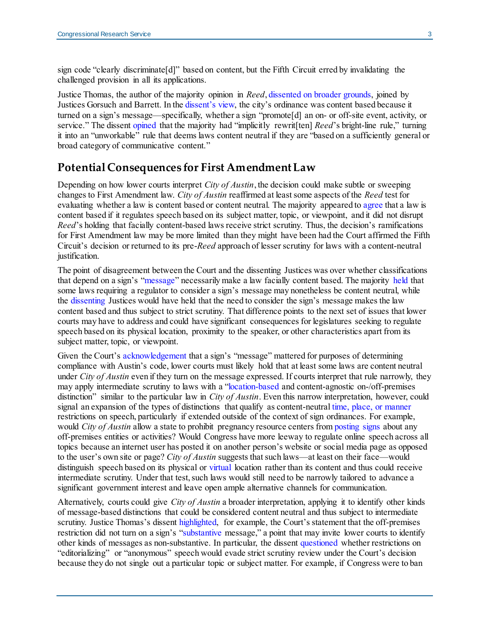sign code "clearly discriminate[d]" based on content, but the Fifth Circuit erred by invalidating the challenged provision in all its applications.

Justice Thomas, the author of the majority opinion in *Reed*[, dissented on broader grounds,](https://www.supremecourt.gov/opinions/21pdf/20-1029_i42k.pdf#page=29) joined by Justices Gorsuch and Barrett. In the [dissent's view,](https://www.supremecourt.gov/opinions/21pdf/20-1029_i42k.pdf#page=29) the city's ordinance was content based because it turned on a sign's message—specifically, whether a sign "promote[d] an on- or off-site event, activity, or service." The dissent [opined](https://www.supremecourt.gov/opinions/21pdf/20-1029_i42k.pdf#page=34) that the majority had "implicitly rewrit[ten] *Reed*'s bright-line rule," turning it into an "unworkable" rule that deems laws content neutral if they are "based on a sufficiently general or broad category of communicative content."

#### **Potential Consequences for First Amendment Law**

Depending on how lower courts interpret *City of Austin*, the decision could make subtle or sweeping changes to First Amendment law. *City of Austin* reaffirmed at least some aspects of the *Reed* test for evaluating whether a law is content based or content neutral. The majority appeared to [agree](https://www.supremecourt.gov/opinions/21pdf/20-1029_i42k.pdf#page=12) that a law is content based if it regulates speech based on its subject matter, topic, or viewpoint, and it did not disrupt *Reed*'s holding that facially content-based laws receive strict scrutiny. Thus, the decision's ramifications for First Amendment law may be more limited than they might have been had the Court affirmed the Fifth Circuit's decision or returned to its pre-*Reed* approach of lesser scrutiny for laws with a content-neutral justification.

The point of disagreement between the Court and the dissenting Justices was over whether classifications that depend on a sign's ["message"](https://www.supremecourt.gov/opinions/21pdf/20-1029_i42k.pdf#page=11) necessarily make a law facially content based. The majority [held](https://www.supremecourt.gov/opinions/21pdf/20-1029_i42k.pdf#12) that some laws requiring a regulator to consider a sign's message may nonetheless be content neutral, while the [dissenting](https://www.supremecourt.gov/opinions/21pdf/20-1029_i42k.pdf#page=29) Justices would have held that the need to consider the sign's message makes the law content based and thus subject to strict scrutiny. That difference points to the next set of issues that lower courts may have to address and could have significant consequences for legislatures seeking to regulate speech based on its physical location, proximity to the speaker, or other characteristics apart from its subject matter, topic, or viewpoint.

Given the Court's [acknowledgement](https://www.supremecourt.gov/opinions/21pdf/20-1029_i42k.pdf#page=11) that a sign's "message" mattered for purposes of determining compliance with Austin's code, lower courts must likely hold that at least some laws are content neutral under *City of Austin* even if they turn on the message expressed. If courts interpret that rule narrowly, they may apply intermediate scrutiny to laws with a ["location-based](https://www.supremecourt.gov/opinions/21pdf/20-1029_i42k.pdf#page=16) and content-agnostic on-/off-premises distinction" similar to the particular law in *City of Austin*. Even this narrow interpretation, however, could signal an expansion of the types of distinctions that qualify as content-neutra[l time, place, or manner](https://tile.loc.gov/storage-services/service/ll/usrep/usrep468/usrep468288/usrep468288.pdf#page=6) restrictions on speech, particularly if extended outside of the context of sign ordinances. For example, would *City of Austin* allow a state to prohibit pregnancy resource centers fro[m posting signs](https://www.supremecourt.gov/opinions/17pdf/16-1140_5368.pdf#page=11) about any off-premises entities or activities? Would Congress have more leeway to regulate online speech across all topics because an internet user has posted it on another person's website or social media page as opposed to the user's own site or page? *City of Austin* suggests that such laws—at least on their face—would distinguish speech based on its physical or [virtual](https://www.supremecourt.gov/opinions/16pdf/15-1194_08l1.pdf#page=7) location rather than its content and thus could receive intermediate scrutiny. Under that test, such laws would still need to be narrowly tailored to advance a significant government interest and leave open ample alternative channels for communication.

Alternatively, courts could give *City of Austin* a broader interpretation, applying it to identify other kinds of message-based distinctions that could be considered content neutral and thus subject to intermediate scrutiny. Justice Thomas's dissent [highlighted,](https://www.supremecourt.gov/opinions/21pdf/20-1029_i42k.pdf#page=35) for example, the Court's statement that the off-premises restriction did not turn on a sign's ["substantive](https://www.supremecourt.gov/opinions/21pdf/20-1029_i42k.pdf#page=11) message," a point that may invite lower courts to identify other kinds of messages as non-substantive. In particular, the dissent [questioned](https://www.supremecourt.gov/opinions/21pdf/20-1029_i42k.pdf#page=38) whether restrictions on "editorializing" or "anonymous" speech would evade strict scrutiny review under the Court's decision because they do not single out a particular topic or subject matter. For example, if Congress were to ban